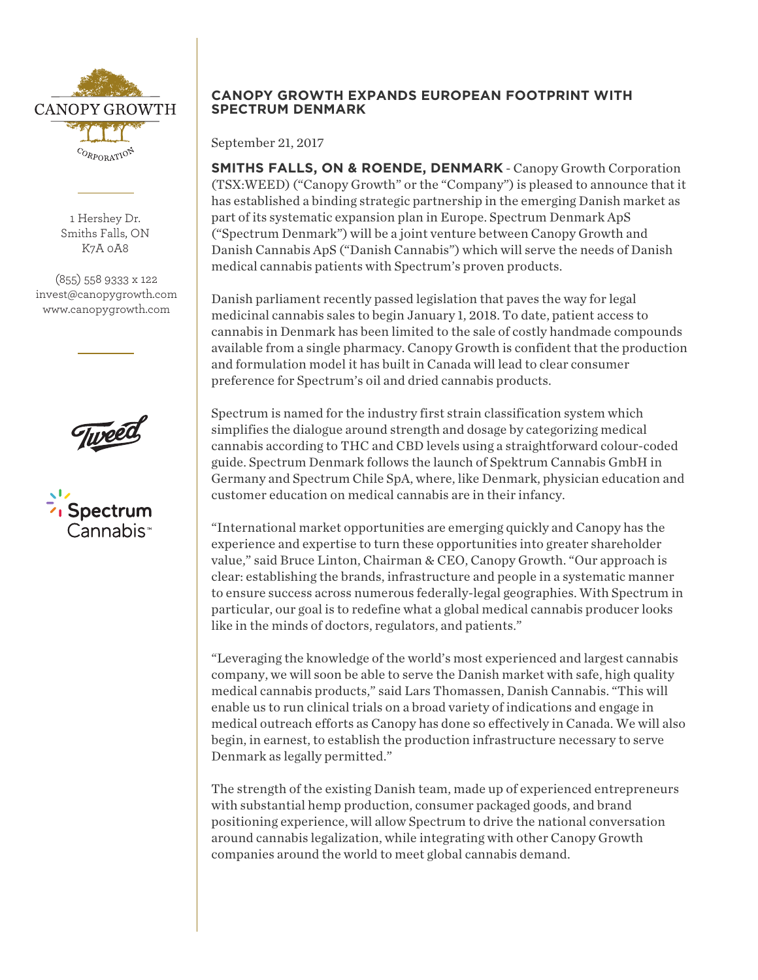

1 Hershey Dr. Smiths Falls, ON K7A 0A8

(855) 558 9333 x 122 invest@canopygrowth.com www.canopygrowth.com

**Tureet** 



# **CANOPY GROWTH EXPANDS EUROPEAN FOOTPRINT WITH SPECTRUM DENMARK**

September 21, 2017

**SMITHS FALLS, ON & ROENDE, DENMARK** - Canopy Growth Corporation (TSX:WEED) ("Canopy Growth" or the "Company") is pleased to announce that it has established a binding strategic partnership in the emerging Danish market as part of its systematic expansion plan in Europe. Spectrum Denmark ApS ("Spectrum Denmark") will be a joint venture between Canopy Growth and Danish Cannabis ApS ("Danish Cannabis") which will serve the needs of Danish medical cannabis patients with Spectrum's proven products.

Danish parliament recently passed legislation that paves the way for legal medicinal cannabis sales to begin January 1, 2018. To date, patient access to cannabis in Denmark has been limited to the sale of costly handmade compounds available from a single pharmacy. Canopy Growth is confident that the production and formulation model it has built in Canada will lead to clear consumer preference for Spectrum's oil and dried cannabis products.

Spectrum is named for the industry first strain classification system which simplifies the dialogue around strength and dosage by categorizing medical cannabis according to THC and CBD levels using a straightforward colour-coded guide. Spectrum Denmark follows the launch of Spektrum Cannabis GmbH in Germany and Spectrum Chile SpA, where, like Denmark, physician education and customer education on medical cannabis are in their infancy.

"International market opportunities are emerging quickly and Canopy has the experience and expertise to turn these opportunities into greater shareholder value," said Bruce Linton, Chairman & CEO, Canopy Growth. "Our approach is clear: establishing the brands, infrastructure and people in a systematic manner to ensure success across numerous federally-legal geographies. With Spectrum in particular, our goal is to redefine what a global medical cannabis producer looks like in the minds of doctors, regulators, and patients."

"Leveraging the knowledge of the world's most experienced and largest cannabis company, we will soon be able to serve the Danish market with safe, high quality medical cannabis products," said Lars Thomassen, Danish Cannabis. "This will enable us to run clinical trials on a broad variety of indications and engage in medical outreach efforts as Canopy has done so effectively in Canada. We will also begin, in earnest, to establish the production infrastructure necessary to serve Denmark as legally permitted."

The strength of the existing Danish team, made up of experienced entrepreneurs with substantial hemp production, consumer packaged goods, and brand positioning experience, will allow Spectrum to drive the national conversation around cannabis legalization, while integrating with other Canopy Growth companies around the world to meet global cannabis demand.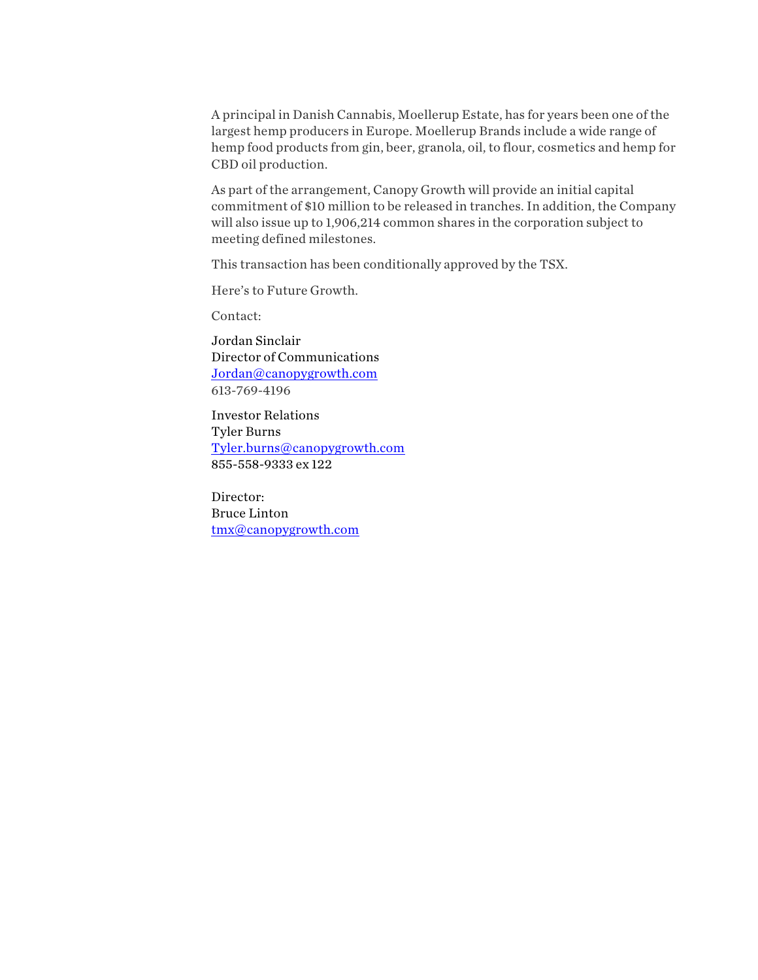A principal in Danish Cannabis, Moellerup Estate, has for years been one of the largest hemp producers in Europe. Moellerup Brands include a wide range of hemp food products from gin, beer, granola, oil, to flour, cosmetics and hemp for CBD oil production.

As part of the arrangement, Canopy Growth will provide an initial capital commitment of \$10 million to be released in tranches. In addition, the Company will also issue up to 1,906,214 common shares in the corporation subject to meeting defined milestones.

This transaction has been conditionally approved by the TSX.

Here's to Future Growth.

Contact:

Jordan Sinclair Director of Communications Jordan@canopygrowth.com 613-769-4196

Investor Relations Tyler Burns Tyler.burns@canopygrowth.com 855-558-9333 ex 122

Director: Bruce Linton tmx@canopygrowth.com